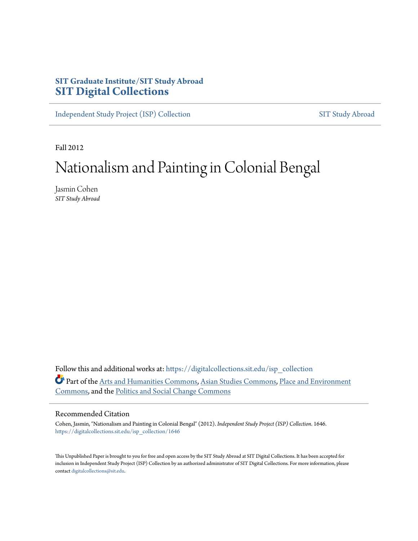## **SIT Graduate Institute/SIT Study Abroad [SIT Digital Collections](https://digitalcollections.sit.edu?utm_source=digitalcollections.sit.edu%2Fisp_collection%2F1646&utm_medium=PDF&utm_campaign=PDFCoverPages)**

[Independent Study Project \(ISP\) Collection](https://digitalcollections.sit.edu/isp_collection?utm_source=digitalcollections.sit.edu%2Fisp_collection%2F1646&utm_medium=PDF&utm_campaign=PDFCoverPages) [SIT Study Abroad](https://digitalcollections.sit.edu/study_abroad?utm_source=digitalcollections.sit.edu%2Fisp_collection%2F1646&utm_medium=PDF&utm_campaign=PDFCoverPages)

Fall 2012

# Nationalism and Painting in Colonial Bengal

Jasmin Cohen *SIT Study Abroad*

Follow this and additional works at: [https://digitalcollections.sit.edu/isp\\_collection](https://digitalcollections.sit.edu/isp_collection?utm_source=digitalcollections.sit.edu%2Fisp_collection%2F1646&utm_medium=PDF&utm_campaign=PDFCoverPages) Part of the [Arts and Humanities Commons](http://network.bepress.com/hgg/discipline/438?utm_source=digitalcollections.sit.edu%2Fisp_collection%2F1646&utm_medium=PDF&utm_campaign=PDFCoverPages), [Asian Studies Commons,](http://network.bepress.com/hgg/discipline/361?utm_source=digitalcollections.sit.edu%2Fisp_collection%2F1646&utm_medium=PDF&utm_campaign=PDFCoverPages) [Place and Environment](http://network.bepress.com/hgg/discipline/424?utm_source=digitalcollections.sit.edu%2Fisp_collection%2F1646&utm_medium=PDF&utm_campaign=PDFCoverPages) [Commons,](http://network.bepress.com/hgg/discipline/424?utm_source=digitalcollections.sit.edu%2Fisp_collection%2F1646&utm_medium=PDF&utm_campaign=PDFCoverPages) and the [Politics and Social Change Commons](http://network.bepress.com/hgg/discipline/425?utm_source=digitalcollections.sit.edu%2Fisp_collection%2F1646&utm_medium=PDF&utm_campaign=PDFCoverPages)

#### Recommended Citation

Cohen, Jasmin, "Nationalism and Painting in Colonial Bengal" (2012). *Independent Study Project (ISP) Collection*. 1646. [https://digitalcollections.sit.edu/isp\\_collection/1646](https://digitalcollections.sit.edu/isp_collection/1646?utm_source=digitalcollections.sit.edu%2Fisp_collection%2F1646&utm_medium=PDF&utm_campaign=PDFCoverPages)

This Unpublished Paper is brought to you for free and open access by the SIT Study Abroad at SIT Digital Collections. It has been accepted for inclusion in Independent Study Project (ISP) Collection by an authorized administrator of SIT Digital Collections. For more information, please contact [digitalcollections@sit.edu](mailto:digitalcollections@sit.edu).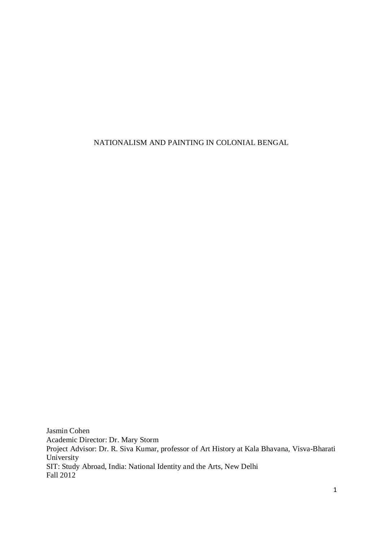NATIONALISM AND PAINTING IN COLONIAL BENGAL

Jasmin Cohen Academic Director: Dr. Mary Storm Project Advisor: Dr. R. Siva Kumar, professor of Art History at Kala Bhavana, Visva-Bharati University SIT: Study Abroad, India: National Identity and the Arts, New Delhi Fall 2012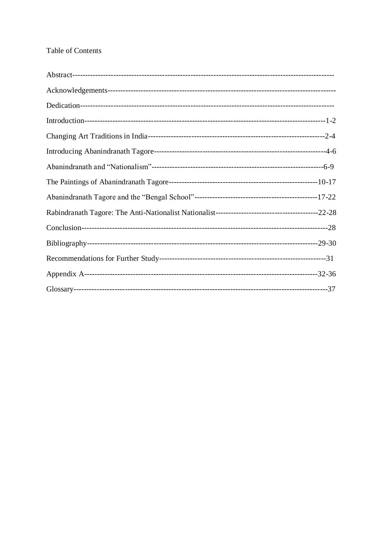### Table of Contents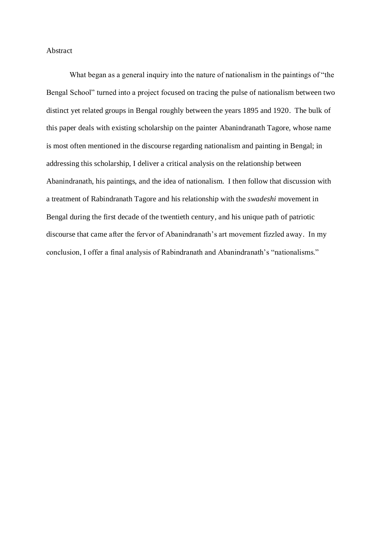Abstract

What began as a general inquiry into the nature of nationalism in the paintings of "the Bengal School" turned into a project focused on tracing the pulse of nationalism between two distinct yet related groups in Bengal roughly between the years 1895 and 1920. The bulk of this paper deals with existing scholarship on the painter Abanindranath Tagore, whose name is most often mentioned in the discourse regarding nationalism and painting in Bengal; in addressing this scholarship, I deliver a critical analysis on the relationship between Abanindranath, his paintings, and the idea of nationalism. I then follow that discussion with a treatment of Rabindranath Tagore and his relationship with the *swadeshi* movement in Bengal during the first decade of the twentieth century, and his unique path of patriotic discourse that came after the fervor of Abanindranath's art movement fizzled away. In my conclusion, I offer a final analysis of Rabindranath and Abanindranath's "nationalisms."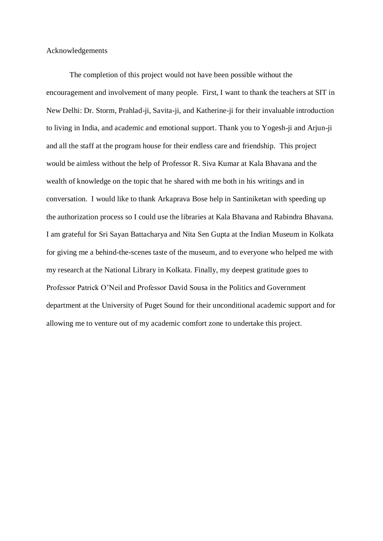Acknowledgements

The completion of this project would not have been possible without the encouragement and involvement of many people. First, I want to thank the teachers at SIT in New Delhi: Dr. Storm, Prahlad-ji, Savita-ji, and Katherine-ji for their invaluable introduction to living in India, and academic and emotional support. Thank you to Yogesh-ji and Arjun-ji and all the staff at the program house for their endless care and friendship. This project would be aimless without the help of Professor R. Siva Kumar at Kala Bhavana and the wealth of knowledge on the topic that he shared with me both in his writings and in conversation. I would like to thank Arkaprava Bose help in Santiniketan with speeding up the authorization process so I could use the libraries at Kala Bhavana and Rabindra Bhavana. I am grateful for Sri Sayan Battacharya and Nita Sen Gupta at the Indian Museum in Kolkata for giving me a behind-the-scenes taste of the museum, and to everyone who helped me with my research at the National Library in Kolkata. Finally, my deepest gratitude goes to Professor Patrick O'Neil and Professor David Sousa in the Politics and Government department at the University of Puget Sound for their unconditional academic support and for allowing me to venture out of my academic comfort zone to undertake this project.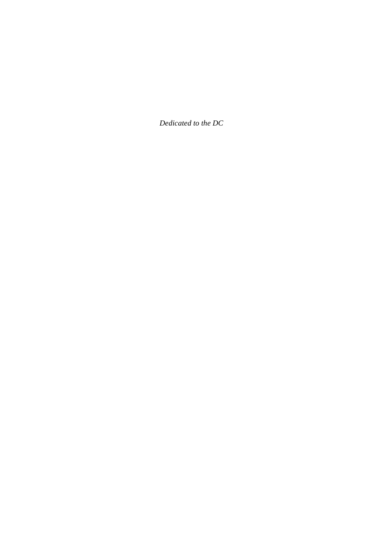*Dedicated to the DC*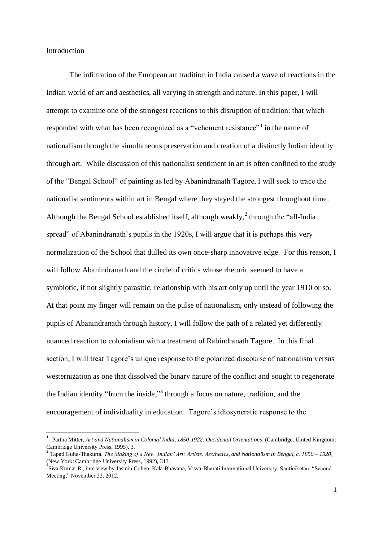#### Introduction

The infiltration of the European art tradition in India caused a wave of reactions in the Indian world of art and aesthetics, all varying in strength and nature. In this paper, I will attempt to examine one of the strongest reactions to this disruption of tradition: that which responded with what has been recognized as a "vehement resistance"<sup>1</sup> in the name of nationalism through the simultaneous preservation and creation of a distinctly Indian identity through art. While discussion of this nationalist sentiment in art is often confined to the study of the "Bengal School" of painting as led by Abanindranath Tagore, I will seek to trace the nationalist sentiments within art in Bengal where they stayed the strongest throughout time. Although the Bengal School established itself, although weakly, $\lambda$  through the "all-India" spread" of Abanindranath's pupils in the 1920s, I will argue that it is perhaps this very normalization of the School that dulled its own once-sharp innovative edge. For this reason, I will follow Abanindranath and the circle of critics whose rhetoric seemed to have a symbiotic, if not slightly parasitic, relationship with his art only up until the year 1910 or so. At that point my finger will remain on the pulse of nationalism, only instead of following the pupils of Abanindranath through history, I will follow the path of a related yet differently nuanced reaction to colonialism with a treatment of Rabindranath Tagore. In this final section, I will treat Tagore's unique response to the polarized discourse of nationalism versus westernization as one that dissolved the binary nature of the conflict and sought to regenerate the Indian identity "from the inside,"<sup>3</sup> through a focus on nature, tradition, and the encouragement of individuality in education. Tagore's idiosyncratic response to the

<sup>1</sup> Partha Mitter, *Art and Nationalism in Colonial India, 1850-1922: Occidental Orientations,* (Cambridge, United Kingdom: Cambridge University Press, 1995), 3.

<sup>2</sup> Tapati Guha-Thakurta. *The Making of a New 'Indian' Art: Artists, Aesthetics, and Nationalism in Bengal, c. 1850 – 1920,*  (New York: Cambridge University Press, 1992), 313.<br> $\frac{3}{2}$ Siya Kumar P., interview by Jesmin Cohan, Kala Ph

Siva Kumar R., interview by Jasmin Cohen, Kala-Bhavana, Visva-Bharati International University, Santiniketan. "Second Meeting," November 22, 2012.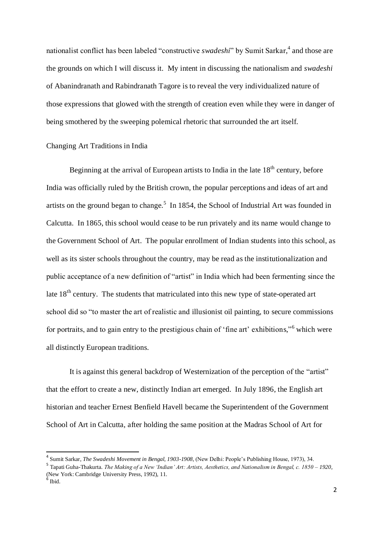nationalist conflict has been labeled "constructive *swadeshi*" by Sumit Sarkar, 4 and those are the grounds on which I will discuss it. My intent in discussing the nationalism and *swadeshi* of Abanindranath and Rabindranath Tagore is to reveal the very individualized nature of those expressions that glowed with the strength of creation even while they were in danger of being smothered by the sweeping polemical rhetoric that surrounded the art itself.

#### Changing Art Traditions in India

Beginning at the arrival of European artists to India in the late  $18<sup>th</sup>$  century, before India was officially ruled by the British crown, the popular perceptions and ideas of art and artists on the ground began to change.<sup>5</sup> In 1854, the School of Industrial Art was founded in Calcutta. In 1865, this school would cease to be run privately and its name would change to the Government School of Art. The popular enrollment of Indian students into this school, as well as its sister schools throughout the country, may be read as the institutionalization and public acceptance of a new definition of "artist" in India which had been fermenting since the late 18<sup>th</sup> century. The students that matriculated into this new type of state-operated art school did so "to master the art of realistic and illusionist oil painting, to secure commissions for portraits, and to gain entry to the prestigious chain of 'fine art' exhibitions," which were all distinctly European traditions.

It is against this general backdrop of Westernization of the perception of the "artist" that the effort to create a new, distinctly Indian art emerged. In July 1896, the English art historian and teacher Ernest Benfield Havell became the Superintendent of the Government School of Art in Calcutta, after holding the same position at the Madras School of Art for

-

<sup>4</sup> Sumit Sarkar, *The Swadeshi Movement in Bengal, 1903-1908,* (New Delhi: People's Publishing House, 1973), 34.

<sup>5</sup> Tapati Guha-Thakurta. *The Making of a New 'Indian' Art: Artists, Aesthetics, and Nationalism in Bengal, c. 1850 – 1920,*  (New York: Cambridge University Press, 1992), 11.

<sup>6</sup> Ibid.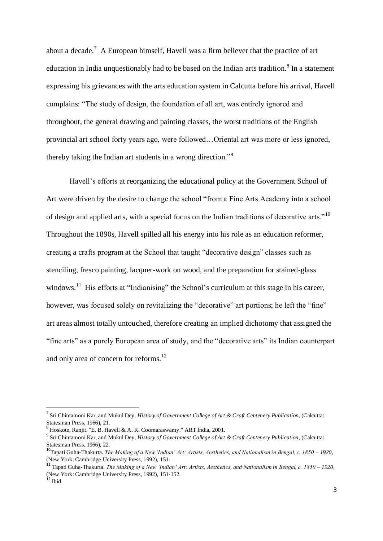about a decade.<sup>7</sup> A European himself, Havell was a firm believer that the practice of art education in India unquestionably had to be based on the Indian arts tradition.<sup>8</sup> In a statement expressing his grievances with the arts education system in Calcutta before his arrival, Havell complains: "The study of design, the foundation of all art, was entirely ignored and throughout, the general drawing and painting classes, the worst traditions of the English provincial art school forty years ago, were followed…Oriental art was more or less ignored, thereby taking the Indian art students in a wrong direction."<sup>9</sup>

Havell's efforts at reorganizing the educational policy at the Government School of Art were driven by the desire to change the school "from a Fine Arts Academy into a school of design and applied arts, with a special focus on the Indian traditions of decorative arts."<sup>10</sup> Throughout the 1890s, Havell spilled all his energy into his role as an education reformer, creating a crafts program at the School that taught "decorative design" classes such as stenciling, fresco painting, lacquer-work on wood, and the preparation for stained-glass windows.<sup>11</sup> His efforts at "Indianising" the School's curriculum at this stage in his career, however, was focused solely on revitalizing the "decorative" art portions; he left the "fine" art areas almost totally untouched, therefore creating an implied dichotomy that assigned the "fine arts" as a purely European area of study, and the "decorative arts" its Indian counterpart and only area of concern for reforms.<sup>12</sup>

<sup>7</sup> Sri Chintamoni Kar, and Mukul Dey, *History of Government College of Art & Craft Centenery Publication,* (Calcutta: Statesman Press, 1966), 21. 8 Hoskote, Ranjit. "E. B. Havell & A. K. Coomaraswamy." ART India, 2001.

<sup>&</sup>lt;sup>9</sup> Sri Chintamoni Kar, and Mukul Dey, *History of Government College of Art & Craft Centenery Publication*, (Calcutta: Statesman Press, 1966), 22.

<sup>10</sup>Tapati Guha-Thakurta. *The Making of a New 'Indian' Art: Artists, Aesthetics, and Nationalism in Bengal, c. 1850 – 1920,*  (New York: Cambridge University Press, 1992), 151.

<sup>11</sup> Tapati Guha-Thakurta. *The Making of a New 'Indian' Art: Artists, Aesthetics, and Nationalism in Bengal, c. 1850 – 1920,*  (New York: Cambridge University Press, 1992), 151-152.  $12$  Ibid.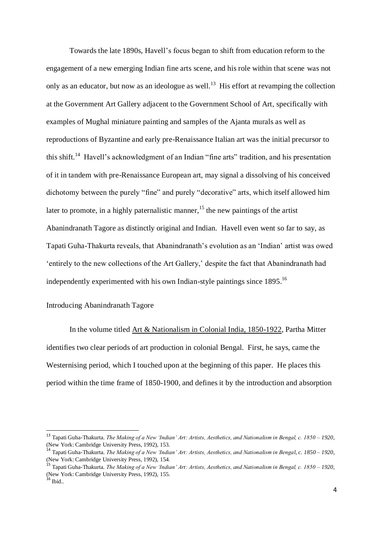Towards the late 1890s, Havell's focus began to shift from education reform to the engagement of a new emerging Indian fine arts scene, and his role within that scene was not only as an educator, but now as an ideologue as well.<sup>13</sup> His effort at revamping the collection at the Government Art Gallery adjacent to the Government School of Art, specifically with examples of Mughal miniature painting and samples of the Ajanta murals as well as reproductions of Byzantine and early pre-Renaissance Italian art was the initial precursor to this shift.<sup>14</sup> Havell's acknowledgment of an Indian "fine arts" tradition, and his presentation of it in tandem with pre-Renaissance European art, may signal a dissolving of his conceived dichotomy between the purely "fine" and purely "decorative" arts, which itself allowed him later to promote, in a highly paternalistic manner, <sup>15</sup> the new paintings of the artist Abanindranath Tagore as distinctly original and Indian. Havell even went so far to say, as Tapati Guha-Thakurta reveals, that Abanindranath's evolution as an 'Indian' artist was owed 'entirely to the new collections of the Art Gallery,' despite the fact that Abanindranath had independently experimented with his own Indian-style paintings since 1895.<sup>16</sup>

#### Introducing Abanindranath Tagore

In the volume titled Art & Nationalism in Colonial India, 1850-1922, Partha Mitter identifies two clear periods of art production in colonial Bengal. First, he says, came the Westernising period, which I touched upon at the beginning of this paper. He places this period within the time frame of 1850-1900, and defines it by the introduction and absorption

<sup>13</sup> Tapati Guha-Thakurta. *The Making of a New 'Indian' Art: Artists, Aesthetics, and Nationalism in Bengal, c. 1850 – 1920,*  (New York: Cambridge University Press, 1992), 153.

<sup>14</sup> Tapati Guha-Thakurta. *The Making of a New 'Indian' Art: Artists, Aesthetics, and Nationalism in Bengal, c. 1850 – 1920,*  (New York: Cambridge University Press, 1992), 154.

<sup>15</sup> Tapati Guha-Thakurta. *The Making of a New 'Indian' Art: Artists, Aesthetics, and Nationalism in Bengal, c. 1850 – 1920,*  (New York: Cambridge University Press, 1992), 155.

 $16$  Ibid..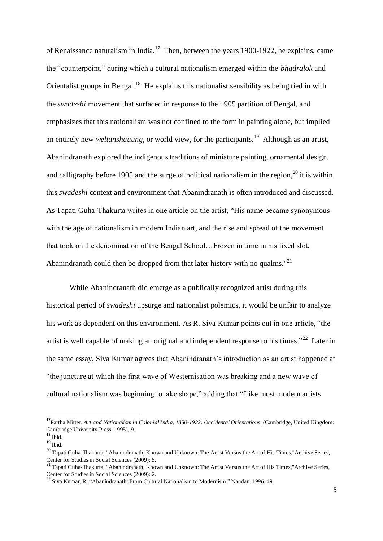of Renaissance naturalism in India.<sup>17</sup> Then, between the years 1900-1922, he explains, came the "counterpoint," during which a cultural nationalism emerged within the *bhadralok* and Orientalist groups in Bengal.<sup>18</sup> He explains this nationalist sensibility as being tied in with the *swadeshi* movement that surfaced in response to the 1905 partition of Bengal, and emphasizes that this nationalism was not confined to the form in painting alone, but implied an entirely new *weltanshauung*, or world view, for the participants.<sup>19</sup> Although as an artist, Abanindranath explored the indigenous traditions of miniature painting, ornamental design, and calligraphy before 1905 and the surge of political nationalism in the region,<sup>20</sup> it is within this *swadeshi* context and environment that Abanindranath is often introduced and discussed. As Tapati Guha-Thakurta writes in one article on the artist, "His name became synonymous with the age of nationalism in modern Indian art, and the rise and spread of the movement that took on the denomination of the Bengal School…Frozen in time in his fixed slot, Abanindranath could then be dropped from that later history with no qualms.<sup>"21</sup>

While Abanindranath did emerge as a publically recognized artist during this historical period of *swadeshi* upsurge and nationalist polemics, it would be unfair to analyze his work as dependent on this environment. As R. Siva Kumar points out in one article, "the artist is well capable of making an original and independent response to his times."<sup>22</sup> Later in the same essay, Siva Kumar agrees that Abanindranath's introduction as an artist happened at "the juncture at which the first wave of Westernisation was breaking and a new wave of cultural nationalism was beginning to take shape," adding that "Like most modern artists

 $\overline{\phantom{a}}$ 

<sup>&</sup>lt;sup>17</sup>Partha Mitter, Art and Nationalism in Colonial India, 1850-1922: Occidental Orientations, (Cambridge, United Kingdom: Cambridge University Press, 1995), 9.

 $18$  Ibid.

 $19$  Ibid.

<sup>&</sup>lt;sup>20</sup> Tapati Guha-Thakurta, "Abanindranath, Known and Unknown: The Artist Versus the Art of His Times,"Archive Series, Center for Studies in Social Sciences (2009): 5.

<sup>21</sup> Tapati Guha-Thakurta, "Abanindranath, Known and Unknown: The Artist Versus the Art of His Times,"Archive Series, Center for Studies in Social Sciences (2009): 2.

<sup>&</sup>lt;sup>22</sup> Siva Kumar, R. "Abanindranath: From Cultural Nationalism to Modernism." Nandan, 1996, 49.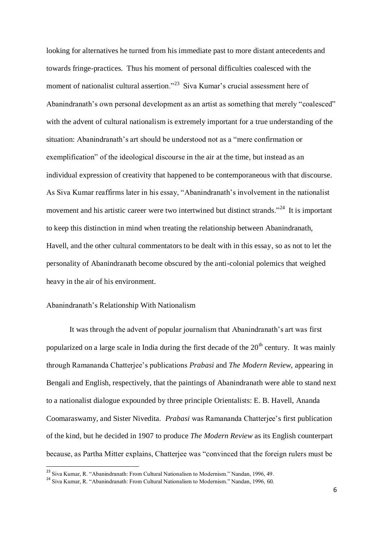looking for alternatives he turned from his immediate past to more distant antecedents and towards fringe-practices. Thus his moment of personal difficulties coalesced with the moment of nationalist cultural assertion."<sup>23</sup> Siva Kumar's crucial assessment here of Abanindranath's own personal development as an artist as something that merely "coalesced" with the advent of cultural nationalism is extremely important for a true understanding of the situation: Abanindranath's art should be understood not as a "mere confirmation or exemplification" of the ideological discourse in the air at the time, but instead as an individual expression of creativity that happened to be contemporaneous with that discourse. As Siva Kumar reaffirms later in his essay, "Abanindranath's involvement in the nationalist movement and his artistic career were two intertwined but distinct strands."<sup>24</sup> It is important to keep this distinction in mind when treating the relationship between Abanindranath, Havell, and the other cultural commentators to be dealt with in this essay, so as not to let the personality of Abanindranath become obscured by the anti-colonial polemics that weighed heavy in the air of his environment.

#### Abanindranath's Relationship With Nationalism

 $\overline{\phantom{a}}$ 

It was through the advent of popular journalism that Abanindranath's art was first popularized on a large scale in India during the first decade of the  $20<sup>th</sup>$  century. It was mainly through Ramananda Chatterjee's publications *Prabasi* and *The Modern Review,* appearing in Bengali and English, respectively, that the paintings of Abanindranath were able to stand next to a nationalist dialogue expounded by three principle Orientalists: E. B. Havell, Ananda Coomaraswamy, and Sister Nivedita. *Prabasi* was Ramananda Chatterjee's first publication of the kind, but he decided in 1907 to produce *The Modern Review* as its English counterpart because, as Partha Mitter explains, Chatterjee was "convinced that the foreign rulers must be

<sup>&</sup>lt;sup>23</sup> Siva Kumar, R. "Abanindranath: From Cultural Nationalism to Modernism." Nandan, 1996, 49.

<sup>24</sup> Siva Kumar, R. "Abanindranath: From Cultural Nationalism to Modernism." Nandan, 1996, 60.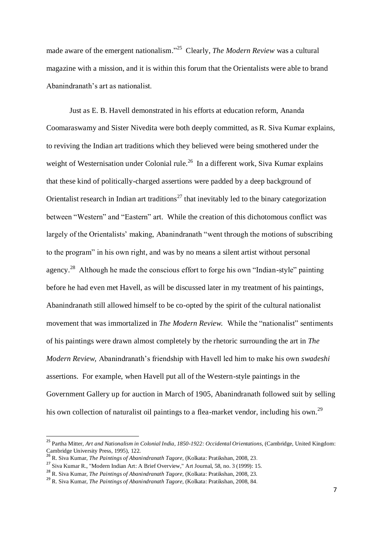made aware of the emergent nationalism."<sup>25</sup> Clearly, *The Modern Review* was a cultural magazine with a mission, and it is within this forum that the Orientalists were able to brand Abanindranath's art as nationalist.

Just as E. B. Havell demonstrated in his efforts at education reform, Ananda Coomaraswamy and Sister Nivedita were both deeply committed, as R. Siva Kumar explains, to reviving the Indian art traditions which they believed were being smothered under the weight of Westernisation under Colonial rule.<sup>26</sup> In a different work, Siva Kumar explains that these kind of politically-charged assertions were padded by a deep background of Orientalist research in Indian art traditions<sup>27</sup> that inevitably led to the binary categorization between "Western" and "Eastern" art. While the creation of this dichotomous conflict was largely of the Orientalists' making, Abanindranath "went through the motions of subscribing to the program" in his own right, and was by no means a silent artist without personal agency.<sup>28</sup> Although he made the conscious effort to forge his own "Indian-style" painting before he had even met Havell, as will be discussed later in my treatment of his paintings, Abanindranath still allowed himself to be co-opted by the spirit of the cultural nationalist movement that was immortalized in *The Modern Review.* While the "nationalist" sentiments of his paintings were drawn almost completely by the rhetoric surrounding the art in *The Modern Review,* Abanindranath's friendship with Havell led him to make his own *swadeshi*  assertions. For example, when Havell put all of the Western-style paintings in the Government Gallery up for auction in March of 1905, Abanindranath followed suit by selling his own collection of naturalist oil paintings to a flea-market vendor, including his own.<sup>29</sup>

<sup>&</sup>lt;sup>25</sup> Partha Mitter, *Art and Nationalism in Colonial India, 1850-1922: Occidental Orientations*, (Cambridge, United Kingdom: Cambridge University Press, 1995), 122.

<sup>26</sup> R. Siva Kumar, *The Paintings of Abanindranath Tagore,* (Kolkata: Pratikshan, 2008, 23.

<sup>27</sup> Siva Kumar R., "Modern Indian Art: A Brief Overview," Art Journal, 58, no. 3 (1999): 15.

<sup>28</sup> R. Siva Kumar, *The Paintings of Abanindranath Tagore,* (Kolkata: Pratikshan, 2008, 23.

<sup>29</sup> R. Siva Kumar, *The Paintings of Abanindranath Tagore,* (Kolkata: Pratikshan, 2008, 84.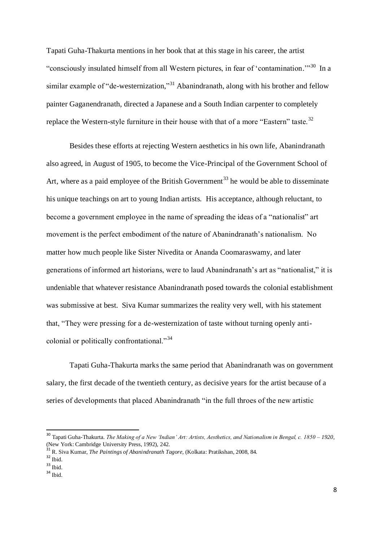Tapati Guha-Thakurta mentions in her book that at this stage in his career, the artist "consciously insulated himself from all Western pictures, in fear of 'contamination."<sup>30</sup> In a similar example of "de-westernization,"<sup>31</sup> Abanindranath, along with his brother and fellow painter Gaganendranath, directed a Japanese and a South Indian carpenter to completely replace the Western-style furniture in their house with that of a more "Eastern" taste.<sup>32</sup>

Besides these efforts at rejecting Western aesthetics in his own life, Abanindranath also agreed, in August of 1905, to become the Vice-Principal of the Government School of Art, where as a paid employee of the British Government<sup>33</sup> he would be able to disseminate his unique teachings on art to young Indian artists. His acceptance, although reluctant, to become a government employee in the name of spreading the ideas of a "nationalist" art movement is the perfect embodiment of the nature of Abanindranath's nationalism. No matter how much people like Sister Nivedita or Ananda Coomaraswamy, and later generations of informed art historians, were to laud Abanindranath's art as "nationalist," it is undeniable that whatever resistance Abanindranath posed towards the colonial establishment was submissive at best. Siva Kumar summarizes the reality very well, with his statement that, "They were pressing for a de-westernization of taste without turning openly anticolonial or politically confrontational."<sup>34</sup>

Tapati Guha-Thakurta marks the same period that Abanindranath was on government salary, the first decade of the twentieth century, as decisive years for the artist because of a series of developments that placed Abanindranath "in the full throes of the new artistic

 $\overline{\phantom{a}}$ 

<sup>30</sup> Tapati Guha-Thakurta. *The Making of a New 'Indian' Art: Artists, Aesthetics, and Nationalism in Bengal, c. 1850 – 1920,*  (New York: Cambridge University Press, 1992), 242.

<sup>31</sup> R. Siva Kumar, *The Paintings of Abanindranath Tagore,* (Kolkata: Pratikshan, 2008, 84.

 $32$  Ibid.

<sup>33</sup> Ibid.

 $34$  Ibid.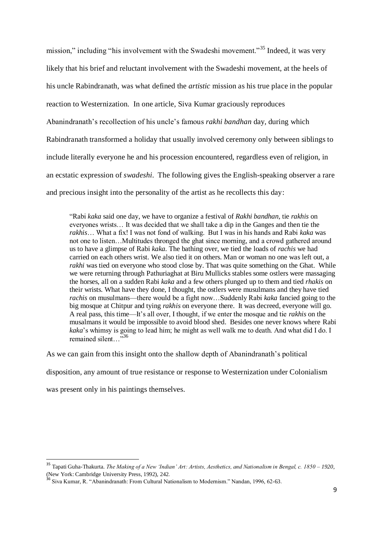mission," including "his involvement with the Swadeshi movement."<sup>35</sup> Indeed, it was very likely that his brief and reluctant involvement with the Swadeshi movement, at the heels of his uncle Rabindranath, was what defined the *artistic* mission as his true place in the popular reaction to Westernization. In one article, Siva Kumar graciously reproduces Abanindranath's recollection of his uncle's famous *rakhi bandhan* day, during which Rabindranath transformed a holiday that usually involved ceremony only between siblings to include literally everyone he and his procession encountered, regardless even of religion, in an ecstatic expression of *swadeshi*. The following gives the English-speaking observer a rare and precious insight into the personality of the artist as he recollects this day:

"Rabi *kaka* said one day, we have to organize a festival of *Rakhi bandhan,* tie *rakhis* on everyones wrists… It was decided that we shall take a dip in the Ganges and then tie the *rakhis*… What a fix! I was not fond of walking. But I was in his hands and Rabi *kaka* was not one to listen…Multitudes thronged the ghat since morning, and a crowd gathered around us to have a glimpse of Rabi *kaka.* The bathing over, we tied the loads of *rachis* we had carried on each others wrist. We also tied it on others. Man or woman no one was left out, a *rakhi* was tied on everyone who stood close by. That was quite something on the Ghat. While we were returning through Pathuriaghat at Biru Mullicks stables some ostlers were massaging the horses, all on a sudden Rabi *kaka* and a few others plunged up to them and tied *rhakis* on their wrists. What have they done, I thought, the ostlers were musulmans and they have tied *rachis* on musulmans—there would be a fight now…Suddenly Rabi *kaka* fancied going to the big mosque at Chitpur and tying *rakhis* on everyone there. It was decreed, everyone will go. A real pass, this time—It's all over, I thought, if we enter the mosque and tie *rakhis* on the musalmans it would be impossible to avoid blood shed. Besides one never knows where Rabi *kaka*'s whimsy is going to lead him; he might as well walk me to death. And what did I do. I remained silent…"<sup>36</sup>

As we can gain from this insight onto the shallow depth of Abanindranath's political

disposition, any amount of true resistance or response to Westernization under Colonialism

was present only in his paintings themselves.

<sup>35</sup> Tapati Guha-Thakurta. *The Making of a New 'Indian' Art: Artists, Aesthetics, and Nationalism in Bengal, c. 1850 – 1920,*  (New York: Cambridge University Press, 1992), 242.

<sup>&</sup>lt;sup>36</sup> Siva Kumar, R. "Abanindranath: From Cultural Nationalism to Modernism." Nandan, 1996, 62-63.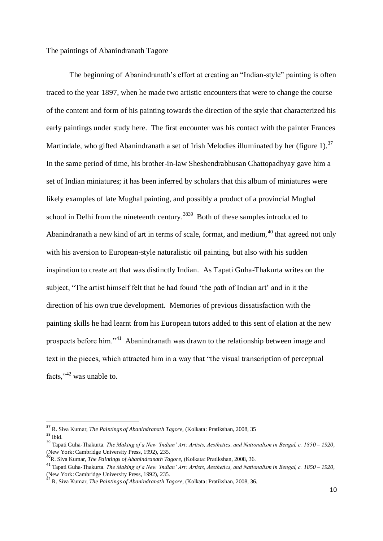The paintings of Abanindranath Tagore

The beginning of Abanindranath's effort at creating an "Indian-style" painting is often traced to the year 1897, when he made two artistic encounters that were to change the course of the content and form of his painting towards the direction of the style that characterized his early paintings under study here. The first encounter was his contact with the painter Frances Martindale, who gifted Abanindranath a set of Irish Melodies illuminated by her (figure 1).<sup>37</sup> In the same period of time, his brother-in-law Sheshendrabhusan Chattopadhyay gave him a set of Indian miniatures; it has been inferred by scholars that this album of miniatures were likely examples of late Mughal painting, and possibly a product of a provincial Mughal school in Delhi from the nineteenth century.<sup>3839</sup> Both of these samples introduced to Abanindranath a new kind of art in terms of scale, format, and medium,  $40$  that agreed not only with his aversion to European-style naturalistic oil painting, but also with his sudden inspiration to create art that was distinctly Indian. As Tapati Guha-Thakurta writes on the subject, "The artist himself felt that he had found 'the path of Indian art' and in it the direction of his own true development. Memories of previous dissatisfaction with the painting skills he had learnt from his European tutors added to this sent of elation at the new prospects before him."<sup>41</sup> Abanindranath was drawn to the relationship between image and text in the pieces, which attracted him in a way that "the visual transcription of perceptual facts,"<sup>42</sup> was unable to.

<sup>&</sup>lt;sup>37</sup> R. Siva Kumar, *The Paintings of Abanindranath Tagore*, (Kolkata: Pratikshan, 2008, 35  $^{38}$  Ibid.

<sup>39</sup> Tapati Guha-Thakurta. *The Making of a New 'Indian' Art: Artists, Aesthetics, and Nationalism in Bengal, c. 1850 – 1920,*  (New York: Cambridge University Press, 1992), 235.

<sup>40</sup>R. Siva Kumar, *The Paintings of Abanindranath Tagore,* (Kolkata: Pratikshan, 2008, 36.

<sup>41</sup> Tapati Guha-Thakurta. *The Making of a New 'Indian' Art: Artists, Aesthetics, and Nationalism in Bengal, c. 1850 – 1920,*  (New York: Cambridge University Press, 1992), 235.

<sup>42</sup> R. Siva Kumar, *The Paintings of Abanindranath Tagore,* (Kolkata: Pratikshan, 2008, 36.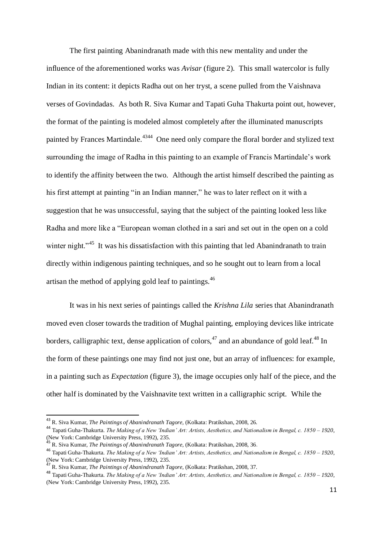The first painting Abanindranath made with this new mentality and under the influence of the aforementioned works was *Avisar* (figure 2)*.* This small watercolor is fully Indian in its content: it depicts Radha out on her tryst, a scene pulled from the Vaishnava verses of Govindadas. As both R. Siva Kumar and Tapati Guha Thakurta point out, however, the format of the painting is modeled almost completely after the illuminated manuscripts painted by Frances Martindale.<sup>4344</sup> One need only compare the floral border and stylized text surrounding the image of Radha in this painting to an example of Francis Martindale's work to identify the affinity between the two. Although the artist himself described the painting as his first attempt at painting "in an Indian manner," he was to later reflect on it with a suggestion that he was unsuccessful, saying that the subject of the painting looked less like Radha and more like a "European woman clothed in a sari and set out in the open on a cold winter night."<sup>45</sup> It was his dissatisfaction with this painting that led Abanindranath to train directly within indigenous painting techniques, and so he sought out to learn from a local artisan the method of applying gold leaf to paintings.<sup>46</sup>

It was in his next series of paintings called the *Krishna Lila* series that Abanindranath moved even closer towards the tradition of Mughal painting, employing devices like intricate borders, calligraphic text, dense application of colors,<sup>47</sup> and an abundance of gold leaf.<sup>48</sup> In the form of these paintings one may find not just one, but an array of influences: for example, in a painting such as *Expectation* (figure 3), the image occupies only half of the piece, and the other half is dominated by the Vaishnavite text written in a calligraphic script. While the

 $\overline{a}$ 

<sup>43</sup> R. Siva Kumar, *The Paintings of Abanindranath Tagore,* (Kolkata: Pratikshan, 2008, 26.

<sup>44</sup> Tapati Guha-Thakurta. *The Making of a New 'Indian' Art: Artists, Aesthetics, and Nationalism in Bengal, c. 1850 – 1920,*  (New York: Cambridge University Press, 1992), 235.

<sup>45</sup> R. Siva Kumar, *The Paintings of Abanindranath Tagore,* (Kolkata: Pratikshan, 2008, 36.

<sup>46</sup> Tapati Guha-Thakurta. *The Making of a New 'Indian' Art: Artists, Aesthetics, and Nationalism in Bengal, c. 1850 – 1920,*  (New York: Cambridge University Press, 1992), 235.

<sup>47</sup> R. Siva Kumar, *The Paintings of Abanindranath Tagore,* (Kolkata: Pratikshan, 2008, 37.

<sup>48</sup> Tapati Guha-Thakurta. *The Making of a New 'Indian' Art: Artists, Aesthetics, and Nationalism in Bengal, c. 1850 – 1920,*  (New York: Cambridge University Press, 1992), 235.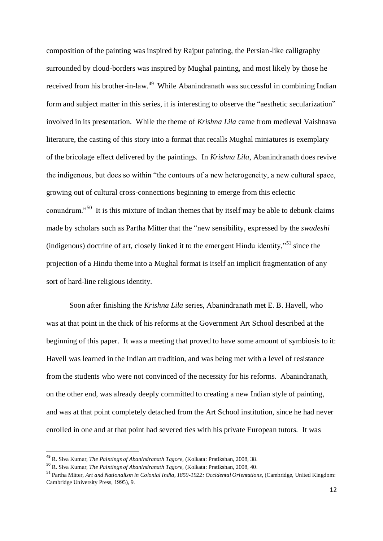composition of the painting was inspired by Rajput painting, the Persian-like calligraphy surrounded by cloud-borders was inspired by Mughal painting, and most likely by those he received from his brother-in-law.<sup>49</sup> While Abanindranath was successful in combining Indian form and subject matter in this series, it is interesting to observe the "aesthetic secularization" involved in its presentation. While the theme of *Krishna Lila* came from medieval Vaishnava literature, the casting of this story into a format that recalls Mughal miniatures is exemplary of the bricolage effect delivered by the paintings. In *Krishna Lila*, Abanindranath does revive the indigenous, but does so within "the contours of a new heterogeneity, a new cultural space, growing out of cultural cross-connections beginning to emerge from this eclectic conundrum."<sup>50</sup> It is this mixture of Indian themes that by itself may be able to debunk claims made by scholars such as Partha Mitter that the "new sensibility, expressed by the *swadeshi* (indigenous) doctrine of art, closely linked it to the emergent Hindu identity, $^{551}$  since the projection of a Hindu theme into a Mughal format is itself an implicit fragmentation of any sort of hard-line religious identity.

Soon after finishing the *Krishna Lila* series, Abanindranath met E. B. Havell, who was at that point in the thick of his reforms at the Government Art School described at the beginning of this paper. It was a meeting that proved to have some amount of symbiosis to it: Havell was learned in the Indian art tradition, and was being met with a level of resistance from the students who were not convinced of the necessity for his reforms. Abanindranath, on the other end, was already deeply committed to creating a new Indian style of painting, and was at that point completely detached from the Art School institution, since he had never enrolled in one and at that point had severed ties with his private European tutors. It was

-

<sup>49</sup> R. Siva Kumar, *The Paintings of Abanindranath Tagore,* (Kolkata: Pratikshan, 2008, 38.

<sup>50</sup> R. Siva Kumar, *The Paintings of Abanindranath Tagore,* (Kolkata: Pratikshan, 2008, 40.

<sup>51</sup> Partha Mitter, *Art and Nationalism in Colonial India, 1850-1922: Occidental Orientations,* (Cambridge, United Kingdom: Cambridge University Press, 1995), 9.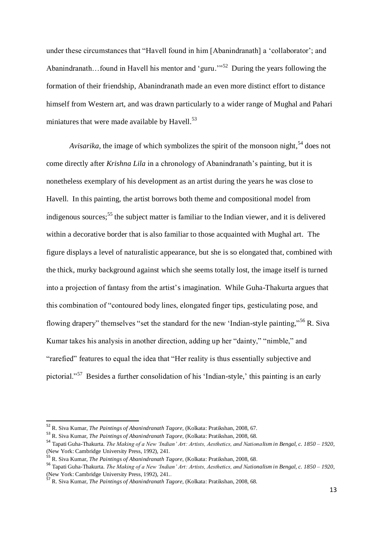under these circumstances that "Havell found in him [Abanindranath] a 'collaborator'; and Abanindranath... found in Havell his mentor and 'guru."<sup>52</sup> During the years following the formation of their friendship, Abanindranath made an even more distinct effort to distance himself from Western art, and was drawn particularly to a wider range of Mughal and Pahari miniatures that were made available by Havell.<sup>53</sup>

Avisarika, the image of which symbolizes the spirit of the monsoon night,<sup>54</sup> does not come directly after *Krishna Lila* in a chronology of Abanindranath's painting, but it is nonetheless exemplary of his development as an artist during the years he was close to Havell. In this painting, the artist borrows both theme and compositional model from indigenous sources;<sup>55</sup> the subject matter is familiar to the Indian viewer, and it is delivered within a decorative border that is also familiar to those acquainted with Mughal art. The figure displays a level of naturalistic appearance, but she is so elongated that, combined with the thick, murky background against which she seems totally lost, the image itself is turned into a projection of fantasy from the artist's imagination. While Guha-Thakurta argues that this combination of "contoured body lines, elongated finger tips, gesticulating pose, and flowing drapery" themselves "set the standard for the new 'Indian-style painting,"<sup>56</sup> R. Siva Kumar takes his analysis in another direction, adding up her "dainty," "nimble," and "rarefied" features to equal the idea that "Her reality is thus essentially subjective and pictorial."<sup>57</sup> Besides a further consolidation of his 'Indian-style,' this painting is an early

 $\overline{\phantom{a}}$ 

<sup>52</sup> R. Siva Kumar, *The Paintings of Abanindranath Tagore,* (Kolkata: Pratikshan, 2008, 67.

<sup>53</sup> R. Siva Kumar, *The Paintings of Abanindranath Tagore,* (Kolkata: Pratikshan, 2008, 68.

<sup>54</sup> Tapati Guha-Thakurta. *The Making of a New 'Indian' Art: Artists, Aesthetics, and Nationalism in Bengal, c. 1850 – 1920,*  (New York: Cambridge University Press, 1992), 241.

<sup>55</sup> R. Siva Kumar, *The Paintings of Abanindranath Tagore,* (Kolkata: Pratikshan, 2008, 68.

<sup>56</sup> Tapati Guha-Thakurta. *The Making of a New 'Indian' Art: Artists, Aesthetics, and Nationalism in Bengal, c. 1850 – 1920,*  (New York: Cambridge University Press, 1992), 241...

<sup>57</sup> R. Siva Kumar, *The Paintings of Abanindranath Tagore,* (Kolkata: Pratikshan, 2008, 68.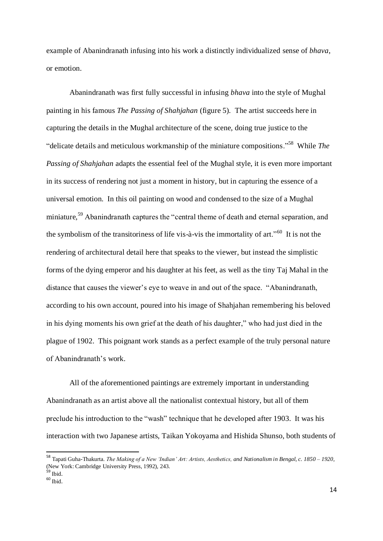example of Abanindranath infusing into his work a distinctly individualized sense of *bhava*, or emotion.

Abanindranath was first fully successful in infusing *bhava* into the style of Mughal painting in his famous *The Passing of Shahjahan* (figure 5)*.* The artist succeeds here in capturing the details in the Mughal architecture of the scene, doing true justice to the "delicate details and meticulous workmanship of the miniature compositions."<sup>58</sup> While *The Passing of Shahjahan* adapts the essential feel of the Mughal style, it is even more important in its success of rendering not just a moment in history, but in capturing the essence of a universal emotion. In this oil painting on wood and condensed to the size of a Mughal miniature.<sup>59</sup> Abanindranath captures the "central theme of death and eternal separation, and the symbolism of the transitoriness of life vis-à-vis the immortality of art."<sup>60</sup> It is not the rendering of architectural detail here that speaks to the viewer, but instead the simplistic forms of the dying emperor and his daughter at his feet, as well as the tiny Taj Mahal in the distance that causes the viewer's eye to weave in and out of the space. "Abanindranath, according to his own account, poured into his image of Shahjahan remembering his beloved in his dying moments his own grief at the death of his daughter," who had just died in the plague of 1902. This poignant work stands as a perfect example of the truly personal nature of Abanindranath's work.

All of the aforementioned paintings are extremely important in understanding Abanindranath as an artist above all the nationalist contextual history, but all of them preclude his introduction to the "wash" technique that he developed after 1903. It was his interaction with two Japanese artists, Taikan Yokoyama and Hishida Shunso, both students of

-

<sup>58</sup> Tapati Guha-Thakurta. *The Making of a New 'Indian' Art: Artists, Aesthetics, and Nationalism in Bengal, c. 1850 – 1920,*  (New York: Cambridge University Press, 1992), 243.

<sup>59</sup> Ibid.

 $60$  Ibid.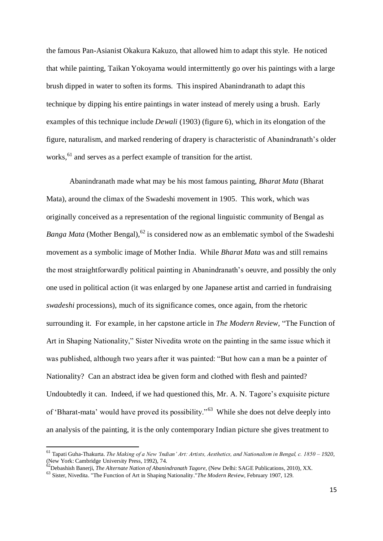the famous Pan-Asianist Okakura Kakuzo, that allowed him to adapt this style. He noticed that while painting, Taikan Yokoyama would intermittently go over his paintings with a large brush dipped in water to soften its forms. This inspired Abanindranath to adapt this technique by dipping his entire paintings in water instead of merely using a brush. Early examples of this technique include *Dewali* (1903) (figure 6), which in its elongation of the figure, naturalism, and marked rendering of drapery is characteristic of Abanindranath's older works,<sup>61</sup> and serves as a perfect example of transition for the artist.

Abanindranath made what may be his most famous painting, *Bharat Mata* (Bharat Mata)*,* around the climax of the Swadeshi movement in 1905. This work, which was originally conceived as a representation of the regional linguistic community of Bengal as *Banga Mata* (Mother Bengal), <sup>62</sup> is considered now as an emblematic symbol of the Swadeshi movement as a symbolic image of Mother India. While *Bharat Mata* was and still remains the most straightforwardly political painting in Abanindranath's oeuvre, and possibly the only one used in political action (it was enlarged by one Japanese artist and carried in fundraising *swadeshi* processions), much of its significance comes, once again, from the rhetoric surrounding it. For example, in her capstone article in *The Modern Review,* "The Function of Art in Shaping Nationality," Sister Nivedita wrote on the painting in the same issue which it was published, although two years after it was painted: "But how can a man be a painter of Nationality? Can an abstract idea be given form and clothed with flesh and painted? Undoubtedly it can. Indeed, if we had questioned this, Mr. A. N. Tagore's exquisite picture of 'Bharat-mata' would have proved its possibility."<sup>63</sup> While she does not delve deeply into an analysis of the painting, it is the only contemporary Indian picture she gives treatment to

<sup>61</sup> Tapati Guha-Thakurta. *The Making of a New 'Indian' Art: Artists, Aesthetics, and Nationalism in Bengal, c. 1850 – 1920,*  (New York: Cambridge University Press, 1992), 74.

<sup>62</sup>Debashish Banerji, *The Alternate Nation of Abanindranath Tagore,* (New Delhi: SAGE Publications, 2010), XX.

<sup>63</sup> Sister, Nivedita. "The Function of Art in Shaping Nationality."*The Modern Review*, February 1907, 129.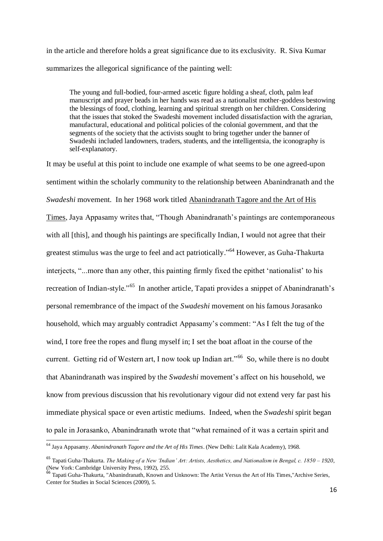in the article and therefore holds a great significance due to its exclusivity. R. Siva Kumar summarizes the allegorical significance of the painting well:

The young and full-bodied, four-armed ascetic figure holding a sheaf, cloth, palm leaf manuscript and prayer beads in her hands was read as a nationalist mother-goddess bestowing the blessings of food, clothing, learning and spiritual strength on her children. Considering that the issues that stoked the Swadeshi movement included dissatisfaction with the agrarian, manufactural, educational and political policies of the colonial government, and that the segments of the society that the activists sought to bring together under the banner of Swadeshi included landowners, traders, students, and the intelligentsia, the iconography is self-explanatory.

It may be useful at this point to include one example of what seems to be one agreed-upon sentiment within the scholarly community to the relationship between Abanindranath and the *Swadeshi* movement. In her 1968 work titled Abanindranath Tagore and the Art of His Times, Jaya Appasamy writes that, "Though Abanindranath's paintings are contemporaneous with all [this], and though his paintings are specifically Indian, I would not agree that their greatest stimulus was the urge to feel and act patriotically."<sup>64</sup> However, as Guha-Thakurta interjects, "...more than any other, this painting firmly fixed the epithet 'nationalist' to his recreation of Indian-style."<sup>65</sup> In another article, Tapati provides a snippet of Abanindranath's personal remembrance of the impact of the *Swadeshi* movement on his famous Jorasanko household, which may arguably contradict Appasamy's comment: "As I felt the tug of the wind, I tore free the ropes and flung myself in; I set the boat afloat in the course of the current. Getting rid of Western art, I now took up Indian art."<sup>66</sup> So, while there is no doubt that Abanindranath was inspired by the *Swadeshi* movement's affect on his household, we know from previous discussion that his revolutionary vigour did not extend very far past his immediate physical space or even artistic mediums. Indeed, when the *Swadeshi* spirit began to pale in Jorasanko, Abanindranath wrote that "what remained of it was a certain spirit and

<sup>-</sup><sup>64</sup> Jaya Appasamy. *Abanindranath Tagore and the Art of His Times*. (New Delhi: Lalit Kala Academy), 1968.

<sup>65</sup> Tapati Guha-Thakurta. *The Making of a New 'Indian' Art: Artists, Aesthetics, and Nationalism in Bengal, c. 1850 – 1920,*  (New York: Cambridge University Press, 1992), 255.

<sup>66</sup> Tapati Guha-Thakurta, "Abanindranath, Known and Unknown: The Artist Versus the Art of His Times,"Archive Series, Center for Studies in Social Sciences (2009), 5.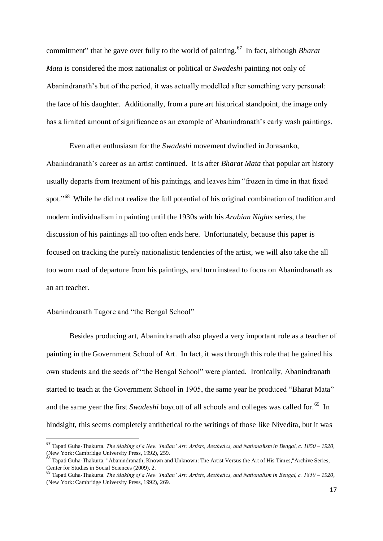commitment" that he gave over fully to the world of painting.<sup>67</sup> In fact, although *Bharat Mata* is considered the most nationalist or political or *Swadeshi* painting not only of Abanindranath's but of the period, it was actually modelled after something very personal: the face of his daughter. Additionally, from a pure art historical standpoint, the image only has a limited amount of significance as an example of Abanindranath's early wash paintings.

Even after enthusiasm for the *Swadeshi* movement dwindled in Jorasanko, Abanindranath's career as an artist continued. It is after *Bharat Mata* that popular art history usually departs from treatment of his paintings, and leaves him "frozen in time in that fixed spot."<sup>68</sup> While he did not realize the full potential of his original combination of tradition and modern individualism in painting until the 1930s with his *Arabian Nights* series, the discussion of his paintings all too often ends here. Unfortunately, because this paper is focused on tracking the purely nationalistic tendencies of the artist, we will also take the all too worn road of departure from his paintings, and turn instead to focus on Abanindranath as an art teacher.

#### Abanindranath Tagore and "the Bengal School"

 $\overline{\phantom{a}}$ 

Besides producing art, Abanindranath also played a very important role as a teacher of painting in the Government School of Art. In fact, it was through this role that he gained his own students and the seeds of "the Bengal School" were planted. Ironically, Abanindranath started to teach at the Government School in 1905, the same year he produced "Bharat Mata" and the same year the first *Swadeshi* boycott of all schools and colleges was called for.<sup>69</sup> In hindsight, this seems completely antithetical to the writings of those like Nivedita, but it was

<sup>67</sup> Tapati Guha-Thakurta. *The Making of a New 'Indian' Art: Artists, Aesthetics, and Nationalism in Bengal, c. 1850 – 1920,*  (New York: Cambridge University Press, 1992), 259.

 $8$  Tapati Guha-Thakurta, "Abanindranath, Known and Unknown: The Artist Versus the Art of His Times,"Archive Series, Center for Studies in Social Sciences (2009), 2.

<sup>69</sup> Tapati Guha-Thakurta. *The Making of a New 'Indian' Art: Artists, Aesthetics, and Nationalism in Bengal, c. 1850 – 1920,*  (New York: Cambridge University Press, 1992), 269.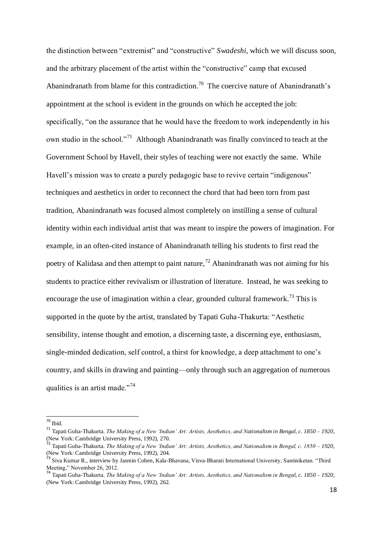the distinction between "extremist" and "constructive" *Swadeshi*, which we will discuss soon, and the arbitrary placement of the artist within the "constructive" camp that excused Abanindranath from blame for this contradiction.<sup>70</sup> The coercive nature of Abanindranath's appointment at the school is evident in the grounds on which he accepted the job: specifically, "on the assurance that he would have the freedom to work independently in his own studio in the school."<sup>71</sup> Although Abanindranath was finally convinced to teach at the Government School by Havell, their styles of teaching were not exactly the same. While Havell's mission was to create a purely pedagogic base to revive certain "indigenous" techniques and aesthetics in order to reconnect the chord that had been torn from past tradition, Abanindranath was focused almost completely on instilling a sense of cultural identity within each individual artist that was meant to inspire the powers of imagination. For example, in an often-cited instance of Abanindranath telling his students to first read the poetry of Kalidasa and then attempt to paint nature,<sup>72</sup> Abanindranath was not aiming for his students to practice either revivalism or illustration of literature. Instead, he was seeking to encourage the use of imagination within a clear, grounded cultural framework.<sup>73</sup> This is supported in the quote by the artist, translated by Tapati Guha-Thakurta: "Aesthetic sensibility, intense thought and emotion, a discerning taste, a discerning eye, enthusiasm, single-minded dedication, self control, a thirst for knowledge, a deep attachment to one's country, and skills in drawing and painting—only through such an aggregation of numerous qualities is an artist made."<sup>74</sup>

-

 $70$  Ibid.

<sup>71</sup> Tapati Guha-Thakurta. *The Making of a New 'Indian' Art: Artists, Aesthetics, and Nationalism in Bengal, c. 1850 – 1920,*  (New York: Cambridge University Press, 1992), 270.

<sup>72</sup> Tapati Guha-Thakurta. *The Making of a New 'Indian' Art: Artists, Aesthetics, and Nationalism in Bengal, c. 1850 – 1920,*  (New York: Cambridge University Press, 1992), 204.

<sup>&</sup>lt;sup>3</sup> Siva Kumar R., interview by Jasmin Cohen, Kala-Bhavana, Visva-Bharati International University, Santiniketan. "Third Meeting," November 26, 2012.

<sup>74</sup> Tapati Guha-Thakurta. *The Making of a New 'Indian' Art: Artists, Aesthetics, and Nationalism in Bengal, c. 1850 – 1920,*  (New York: Cambridge University Press, 1992), 262.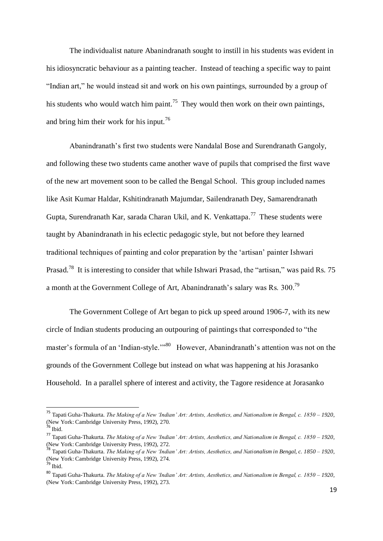The individualist nature Abanindranath sought to instill in his students was evident in his idiosyncratic behaviour as a painting teacher. Instead of teaching a specific way to paint "Indian art," he would instead sit and work on his own paintings, surrounded by a group of his students who would watch him paint.<sup>75</sup> They would then work on their own paintings, and bring him their work for his input.<sup>76</sup>

Abanindranath's first two students were Nandalal Bose and Surendranath Gangoly, and following these two students came another wave of pupils that comprised the first wave of the new art movement soon to be called the Bengal School. This group included names like Asit Kumar Haldar, Kshitindranath Majumdar, Sailendranath Dey, Samarendranath Gupta, Surendranath Kar, sarada Charan Ukil, and K. Venkattapa.<sup>77</sup> These students were taught by Abanindranath in his eclectic pedagogic style, but not before they learned traditional techniques of painting and color preparation by the 'artisan' painter Ishwari Prasad.<sup>78</sup> It is interesting to consider that while Ishwari Prasad, the "artisan," was paid Rs. 75 a month at the Government College of Art, Abanindranath's salary was Rs. 300.<sup>79</sup>

The Government College of Art began to pick up speed around 1906-7, with its new circle of Indian students producing an outpouring of paintings that corresponded to "the master's formula of an 'Indian-style.'"<sup>80</sup> However, Abanindranath's attention was not on the grounds of the Government College but instead on what was happening at his Jorasanko Household. In a parallel sphere of interest and activity, the Tagore residence at Jorasanko

<sup>75</sup> Tapati Guha-Thakurta. *The Making of a New 'Indian' Art: Artists, Aesthetics, and Nationalism in Bengal, c. 1850 – 1920,*  (New York: Cambridge University Press, 1992), 270.

<sup>76</sup> Ibid.

<sup>77</sup> Tapati Guha-Thakurta. *The Making of a New 'Indian' Art: Artists, Aesthetics, and Nationalism in Bengal, c. 1850 – 1920,*  (New York: Cambridge University Press, 1992), 272.

<sup>78</sup> Tapati Guha-Thakurta. *The Making of a New 'Indian' Art: Artists, Aesthetics, and Nationalism in Bengal, c. 1850 – 1920,*  (New York: Cambridge University Press, 1992), 274.

<sup>79</sup> Ibid.

<sup>80</sup> Tapati Guha-Thakurta. *The Making of a New 'Indian' Art: Artists, Aesthetics, and Nationalism in Bengal, c. 1850 – 1920,*  (New York: Cambridge University Press, 1992), 273.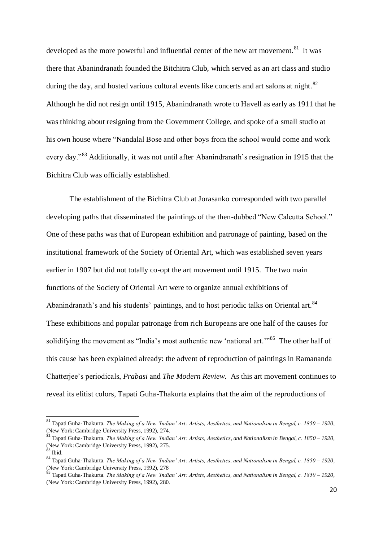developed as the more powerful and influential center of the new art movement.<sup>81</sup> It was there that Abanindranath founded the Bitchitra Club, which served as an art class and studio during the day, and hosted various cultural events like concerts and art salons at night.<sup>82</sup> Although he did not resign until 1915, Abanindranath wrote to Havell as early as 1911 that he was thinking about resigning from the Government College, and spoke of a small studio at his own house where "Nandalal Bose and other boys from the school would come and work every day."<sup>83</sup> Additionally, it was not until after Abanindranath's resignation in 1915 that the Bichitra Club was officially established.

The establishment of the Bichitra Club at Jorasanko corresponded with two parallel developing paths that disseminated the paintings of the then-dubbed "New Calcutta School." One of these paths was that of European exhibition and patronage of painting, based on the institutional framework of the Society of Oriental Art, which was established seven years earlier in 1907 but did not totally co-opt the art movement until 1915. The two main functions of the Society of Oriental Art were to organize annual exhibitions of Abanindranath's and his students' paintings, and to host periodic talks on Oriental art.<sup>84</sup> These exhibitions and popular patronage from rich Europeans are one half of the causes for solidifying the movement as "India's most authentic new 'national art."<sup>85</sup> The other half of this cause has been explained already: the advent of reproduction of paintings in Ramananda Chatterjee's periodicals, *Prabasi* and *The Modern Review*. As this art movement continues to reveal its elitist colors, Tapati Guha-Thakurta explains that the aim of the reproductions of

 $\overline{\phantom{a}}$ 

<sup>81</sup> Tapati Guha-Thakurta. *The Making of a New 'Indian' Art: Artists, Aesthetics, and Nationalism in Bengal, c. 1850 – 1920,*  (New York: Cambridge University Press, 1992), 274.

<sup>82</sup> Tapati Guha-Thakurta. *The Making of a New 'Indian' Art: Artists, Aesthetics, and Nationalism in Bengal, c. 1850 – 1920,*  (New York: Cambridge University Press, 1992), 275.

 $83$  Ibid.

<sup>84</sup> Tapati Guha-Thakurta. *The Making of a New 'Indian' Art: Artists, Aesthetics, and Nationalism in Bengal, c. 1850 – 1920,*  (New York: Cambridge University Press, 1992), 278<br>
<sup>85</sup> Tanzi C. J. <u>C.</u>

<sup>85</sup> Tapati Guha-Thakurta. *The Making of a New 'Indian' Art: Artists, Aesthetics, and Nationalism in Bengal, c. 1850 – 1920,*  (New York: Cambridge University Press, 1992), 280.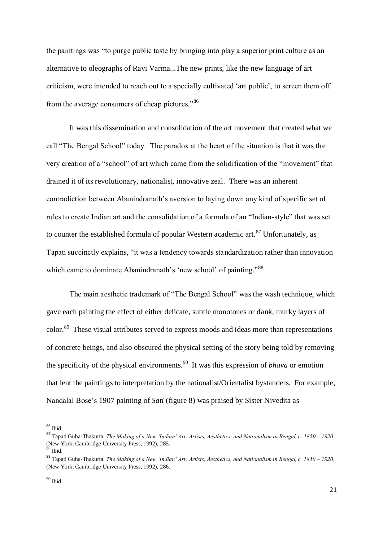the paintings was "to purge public taste by bringing into play a superior print culture as an alternative to oleographs of Ravi Varma...The new prints, like the new language of art criticism, were intended to reach out to a specially cultivated 'art public', to screen them off from the average consumers of cheap pictures."<sup>86</sup>

It was this dissemination and consolidation of the art movement that created what we call "The Bengal School" today. The paradox at the heart of the situation is that it was the very creation of a "school" of art which came from the solidification of the "movement" that drained it of its revolutionary, nationalist, innovative zeal. There was an inherent contradiction between Abanindranath's aversion to laying down any kind of specific set of rules to create Indian art and the consolidation of a formula of an "Indian-style" that was set to counter the established formula of popular Western academic art.<sup>87</sup> Unfortunately, as Tapati succinctly explains, "it was a tendency towards standardization rather than innovation which came to dominate Abanindranath's 'new school' of painting."<sup>88</sup>

The main aesthetic trademark of "The Bengal School" was the wash technique, which gave each painting the effect of either delicate, subtle monotones or dank, murky layers of color.<sup>89</sup> These visual attributes served to express moods and ideas more than representations of concrete beings, and also obscured the physical setting of the story being told by removing the specificity of the physical environments.<sup>90</sup> It was this expression of *bhava* or emotion that lent the paintings to interpretation by the nationalist/Orientalist bystanders. For example, Nandalal Bose's 1907 painting of *Sati* (figure 8) was praised by Sister Nivedita as

 $\overline{\phantom{a}}$ <sup>86</sup> Ibid.

<sup>87</sup> Tapati Guha-Thakurta. *The Making of a New 'Indian' Art: Artists, Aesthetics, and Nationalism in Bengal, c. 1850 – 1920,*  (New York: Cambridge University Press, 1992), 285.

<sup>88</sup> Ibid.

<sup>89</sup> Tapati Guha-Thakurta. *The Making of a New 'Indian' Art: Artists, Aesthetics, and Nationalism in Bengal, c. 1850 – 1920,*  (New York: Cambridge University Press, 1992), 286.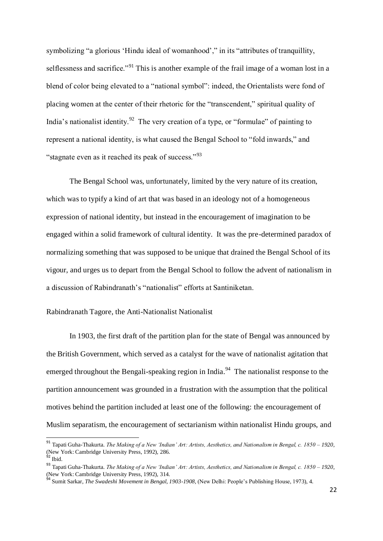symbolizing "a glorious 'Hindu ideal of womanhood'," in its "attributes of tranquillity, selflessness and sacrifice."<sup>91</sup> This is another example of the frail image of a woman lost in a blend of color being elevated to a "national symbol": indeed, the Orientalists were fond of placing women at the center of their rhetoric for the "transcendent," spiritual quality of India's nationalist identity.<sup>92</sup> The very creation of a type, or "formulae" of painting to represent a national identity, is what caused the Bengal School to "fold inwards," and "stagnate even as it reached its peak of success."<sup>93</sup>

The Bengal School was, unfortunately, limited by the very nature of its creation, which was to typify a kind of art that was based in an ideology not of a homogeneous expression of national identity, but instead in the encouragement of imagination to be engaged within a solid framework of cultural identity. It was the pre-determined paradox of normalizing something that was supposed to be unique that drained the Bengal School of its vigour, and urges us to depart from the Bengal School to follow the advent of nationalism in a discussion of Rabindranath's "nationalist" efforts at Santiniketan.

#### Rabindranath Tagore, the Anti-Nationalist Nationalist

In 1903, the first draft of the partition plan for the state of Bengal was announced by the British Government, which served as a catalyst for the wave of nationalist agitation that emerged throughout the Bengali-speaking region in India.<sup>94</sup> The nationalist response to the partition announcement was grounded in a frustration with the assumption that the political motives behind the partition included at least one of the following: the encouragement of Muslim separatism, the encouragement of sectarianism within nationalist Hindu groups, and

 $\overline{\phantom{a}}$ 

<sup>91</sup> Tapati Guha-Thakurta. *The Making of a New 'Indian' Art: Artists, Aesthetics, and Nationalism in Bengal, c. 1850 – 1920,*  (New York: Cambridge University Press, 1992), 286.

 $92$  Ibid.

<sup>93</sup> Tapati Guha-Thakurta. *The Making of a New 'Indian' Art: Artists, Aesthetics, and Nationalism in Bengal, c. 1850 – 1920,*  (New York: Cambridge University Press, 1992), 314.

<sup>94</sup> Sumit Sarkar, *The Swadeshi Movement in Bengal, 1903-1908,* (New Delhi: People's Publishing House, 1973), 4.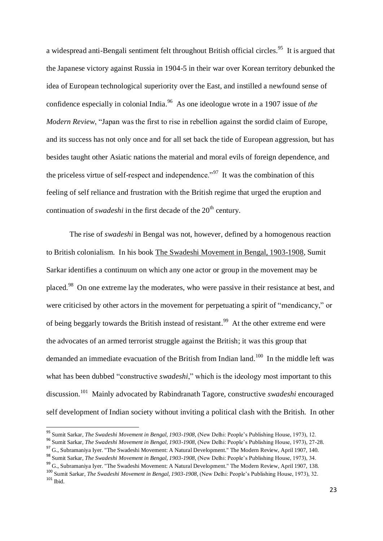a widespread anti-Bengali sentiment felt throughout British official circles.<sup>95</sup> It is argued that the Japanese victory against Russia in 1904-5 in their war over Korean territory debunked the idea of European technological superiority over the East, and instilled a newfound sense of confidence especially in colonial India. 96 As one ideologue wrote in a 1907 issue of *the Modern Review*, "Japan was the first to rise in rebellion against the sordid claim of Europe, and its success has not only once and for all set back the tide of European aggression, but has besides taught other Asiatic nations the material and moral evils of foreign dependence, and the priceless virtue of self-respect and independence.<sup>"97</sup> It was the combination of this feeling of self reliance and frustration with the British regime that urged the eruption and continuation of *swadeshi* in the first decade of the 20<sup>th</sup> century.

The rise of *swadeshi* in Bengal was not, however, defined by a homogenous reaction to British colonialism. In his book The Swadeshi Movement in Bengal, 1903-1908, Sumit Sarkar identifies a continuum on which any one actor or group in the movement may be placed.<sup>98</sup> On one extreme lay the moderates, who were passive in their resistance at best, and were criticised by other actors in the movement for perpetuating a spirit of "mendicancy," or of being beggarly towards the British instead of resistant.<sup>99</sup> At the other extreme end were the advocates of an armed terrorist struggle against the British; it was this group that demanded an immediate evacuation of the British from Indian land.<sup>100</sup> In the middle left was what has been dubbed "constructive *swadeshi*," which is the ideology most important to this discussion. 101 Mainly advocated by Rabindranath Tagore, constructive *swadeshi* encouraged self development of Indian society without inviting a political clash with the British. In other

 $\overline{\phantom{a}}$ 

<sup>98</sup> Sumit Sarkar, *The Swadeshi Movement in Bengal, 1903-1908,* (New Delhi: People's Publishing House, 1973), 34.

<sup>95</sup> Sumit Sarkar, *The Swadeshi Movement in Bengal, 1903-1908,* (New Delhi: People's Publishing House, 1973), 12.

<sup>96</sup> Sumit Sarkar, *The Swadeshi Movement in Bengal, 1903-1908,* (New Delhi: People's Publishing House, 1973), 27-28.

<sup>97</sup> G., Subramaniya Iyer. "The Swadeshi Movement: A Natural Development." The Modern Review, April 1907, 140.

<sup>&</sup>lt;sup>99</sup> G., Subramaniya Iyer. "The Swadeshi Movement: A Natural Development." The Modern Review, April 1907, 138.

<sup>100</sup> Sumit Sarkar, *The Swadeshi Movement in Bengal, 1903-1908,* (New Delhi: People's Publishing House, 1973), 32.  $101$  Ibid.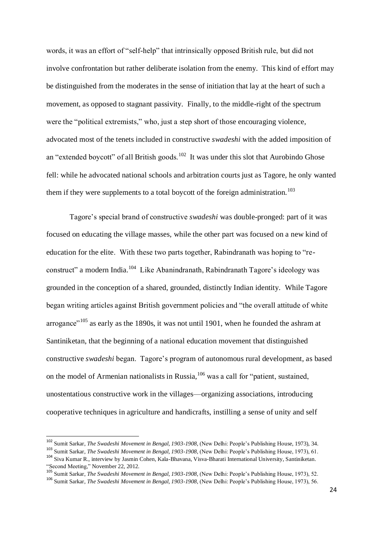words, it was an effort of "self-help" that intrinsically opposed British rule, but did not involve confrontation but rather deliberate isolation from the enemy. This kind of effort may be distinguished from the moderates in the sense of initiation that lay at the heart of such a movement, as opposed to stagnant passivity. Finally, to the middle-right of the spectrum were the "political extremists," who, just a step short of those encouraging violence, advocated most of the tenets included in constructive *swadeshi* with the added imposition of an "extended boycott" of all British goods.<sup>102</sup> It was under this slot that Aurobindo Ghose fell: while he advocated national schools and arbitration courts just as Tagore, he only wanted them if they were supplements to a total boycott of the foreign administration.<sup>103</sup>

Tagore's special brand of constructive *swadeshi* was double-pronged: part of it was focused on educating the village masses, while the other part was focused on a new kind of education for the elite. With these two parts together, Rabindranath was hoping to "reconstruct" a modern India.<sup>104</sup> Like Abanindranath, Rabindranath Tagore's ideology was grounded in the conception of a shared, grounded, distinctly Indian identity. While Tagore began writing articles against British government policies and "the overall attitude of white arrogance"<sup>105</sup> as early as the 1890s, it was not until 1901, when he founded the ashram at Santiniketan, that the beginning of a national education movement that distinguished constructive *swadeshi* began. Tagore's program of autonomous rural development, as based on the model of Armenian nationalists in Russia,  $106$  was a call for "patient, sustained, unostentatious constructive work in the villages—organizing associations, introducing cooperative techniques in agriculture and handicrafts, instilling a sense of unity and self

<sup>102</sup> Sumit Sarkar, *The Swadeshi Movement in Bengal, 1903-1908,* (New Delhi: People's Publishing House, 1973), 34.

<sup>103</sup> Sumit Sarkar, *The Swadeshi Movement in Bengal, 1903-1908,* (New Delhi: People's Publishing House, 1973), 61.

<sup>104</sup> Siva Kumar R., interview by Jasmin Cohen, Kala-Bhavana, Visva-Bharati International University, Santiniketan. "Second Meeting," November 22, 2012.

<sup>105</sup> Sumit Sarkar, *The Swadeshi Movement in Bengal, 1903-1908,* (New Delhi: People's Publishing House, 1973), 52.

<sup>106</sup> Sumit Sarkar, *The Swadeshi Movement in Bengal, 1903-1908,* (New Delhi: People's Publishing House, 1973), 56.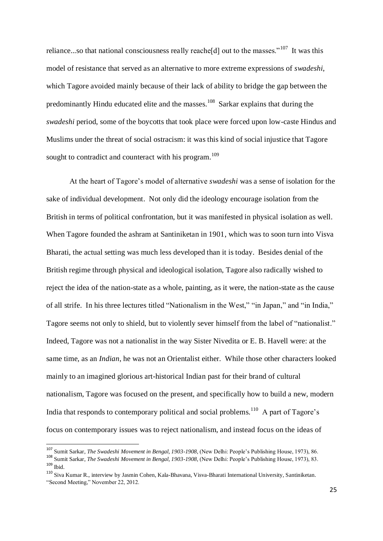reliance...so that national consciousness really reache [d] out to the masses."<sup>107</sup> It was this model of resistance that served as an alternative to more extreme expressions of *swadeshi*, which Tagore avoided mainly because of their lack of ability to bridge the gap between the predominantly Hindu educated elite and the masses.<sup>108</sup> Sarkar explains that during the *swadeshi* period, some of the boycotts that took place were forced upon low-caste Hindus and Muslims under the threat of social ostracism: it was this kind of social injustice that Tagore sought to contradict and counteract with his program.<sup>109</sup>

At the heart of Tagore's model of alternative *swadeshi* was a sense of isolation for the sake of individual development. Not only did the ideology encourage isolation from the British in terms of political confrontation, but it was manifested in physical isolation as well. When Tagore founded the ashram at Santiniketan in 1901, which was to soon turn into Visva Bharati, the actual setting was much less developed than it is today. Besides denial of the British regime through physical and ideological isolation, Tagore also radically wished to reject the idea of the nation-state as a whole, painting, as it were, the nation-state as the cause of all strife. In his three lectures titled "Nationalism in the West," "in Japan," and "in India," Tagore seems not only to shield, but to violently sever himself from the label of "nationalist." Indeed, Tagore was not a nationalist in the way Sister Nivedita or E. B. Havell were: at the same time, as an *Indian*, he was not an Orientalist either. While those other characters looked mainly to an imagined glorious art-historical Indian past for their brand of cultural nationalism, Tagore was focused on the present, and specifically how to build a new, modern India that responds to contemporary political and social problems.<sup>110</sup> A part of Tagore's focus on contemporary issues was to reject nationalism, and instead focus on the ideas of

-

<sup>107</sup> Sumit Sarkar, *The Swadeshi Movement in Bengal, 1903-1908,* (New Delhi: People's Publishing House, 1973), 86.

<sup>108</sup> Sumit Sarkar, *The Swadeshi Movement in Bengal, 1903-1908,* (New Delhi: People's Publishing House, 1973), 83. <sup>109</sup> Ibid.

<sup>110</sup> Siva Kumar R., interview by Jasmin Cohen, Kala-Bhavana, Visva-Bharati International University, Santiniketan. "Second Meeting," November 22, 2012.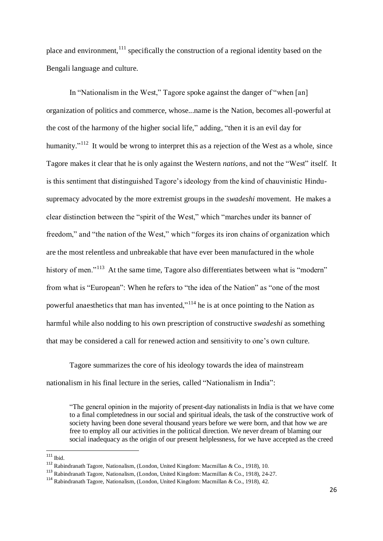place and environment,  $111$  specifically the construction of a regional identity based on the Bengali language and culture.

In "Nationalism in the West," Tagore spoke against the danger of "when [an] organization of politics and commerce, whose...name is the Nation, becomes all-powerful at the cost of the harmony of the higher social life," adding, "then it is an evil day for humanity."<sup>112</sup> It would be wrong to interpret this as a rejection of the West as a whole, since Tagore makes it clear that he is only against the Western *nations*, and not the "West" itself. It is this sentiment that distinguished Tagore's ideology from the kind of chauvinistic Hindusupremacy advocated by the more extremist groups in the *swadeshi* movement. He makes a clear distinction between the "spirit of the West," which "marches under its banner of freedom," and "the nation of the West," which "forges its iron chains of organization which are the most relentless and unbreakable that have ever been manufactured in the whole history of men."<sup>113</sup> At the same time, Tagore also differentiates between what is "modern" from what is "European": When he refers to "the idea of the Nation" as "one of the most powerful anaesthetics that man has invented,"<sup>114</sup> he is at once pointing to the Nation as harmful while also nodding to his own prescription of constructive *swadeshi* as something that may be considered a call for renewed action and sensitivity to one's own culture.

Tagore summarizes the core of his ideology towards the idea of mainstream nationalism in his final lecture in the series, called "Nationalism in India":

"The general opinion in the majority of present-day nationalists in India is that we have come to a final completedness in our social and spiritual ideals, the task of the constructive work of society having been done several thousand years before we were born, and that how we are free to employ all our activities in the political direction. We never dream of blaming our social inadequacy as the origin of our present helplessness, for we have accepted as the creed

-

 $111$  Ibid.

<sup>112</sup> Rabindranath Tagore, Nationalism, (London, United Kingdom: Macmillan & Co., 1918), 10.

<sup>113</sup> Rabindranath Tagore, Nationalism, (London, United Kingdom: Macmillan & Co., 1918), 24-27.

<sup>114</sup> Rabindranath Tagore, Nationalism, (London, United Kingdom: Macmillan & Co., 1918), 42.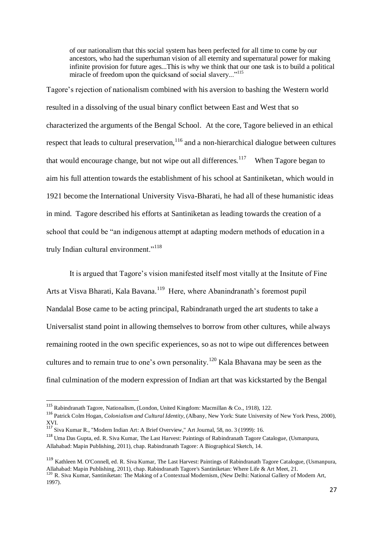of our nationalism that this social system has been perfected for all time to come by our ancestors, who had the superhuman vision of all eternity and supernatural power for making infinite provision for future ages...This is why we think that our one task is to build a political miracle of freedom upon the quicksand of social slavery..."<sup>115</sup>

Tagore's rejection of nationalism combined with his aversion to bashing the Western world resulted in a dissolving of the usual binary conflict between East and West that so characterized the arguments of the Bengal School. At the core, Tagore believed in an ethical respect that leads to cultural preservation, <sup>116</sup> and a non-hierarchical dialogue between cultures that would encourage change, but not wipe out all differences.<sup>117</sup> When Tagore began to aim his full attention towards the establishment of his school at Santiniketan, which would in 1921 become the International University Visva-Bharati, he had all of these humanistic ideas in mind. Tagore described his efforts at Santiniketan as leading towards the creation of a school that could be "an indigenous attempt at adapting modern methods of education in a truly Indian cultural environment."<sup>118</sup>

It is argued that Tagore's vision manifested itself most vitally at the Insitute of Fine Arts at Visva Bharati, Kala Bavana.<sup>119</sup> Here, where Abanindranath's foremost pupil Nandalal Bose came to be acting principal, Rabindranath urged the art students to take a Universalist stand point in allowing themselves to borrow from other cultures, while always remaining rooted in the own specific experiences, so as not to wipe out differences between cultures and to remain true to one's own personality.<sup>120</sup> Kala Bhavana may be seen as the final culmination of the modern expression of Indian art that was kickstarted by the Bengal

<sup>115</sup> Rabindranath Tagore, Nationalism, (London, United Kingdom: Macmillan & Co., 1918), 122.

<sup>116</sup> Patrick Colm Hogan, *Colonialism and Cultural Identity*, (Albany, New York: State University of New York Press, 2000),  $\frac{XVI}{117}$ .

<sup>117</sup> Siva Kumar R., "Modern Indian Art: A Brief Overview," Art Journal, 58, no. 3 (1999): 16.

<sup>118</sup> Uma Das Gupta, ed. R. Siva Kumar, The Last Harvest: Paintings of Rabindranath Tagore Catalogue, (Usmanpura, Allahabad: Mapin Publishing, 2011), chap. Rabindranath Tagore: A Biographical Sketch, 14.

<sup>119</sup> Kathleen M. O'Connell, ed. R. Siva Kumar, The Last Harvest: Paintings of Rabindranath Tagore Catalogue, (Usmanpura, Allahabad: Mapin Publishing, 2011), chap. Rabindranath Tagore's Santiniketan: Where Life & Art Meet, 21. <sup>120</sup> R. Siva Kumar, Santiniketan: The Making of a Contextual Modernism, (New Delhi: National Gallery of Modern Art, 1997).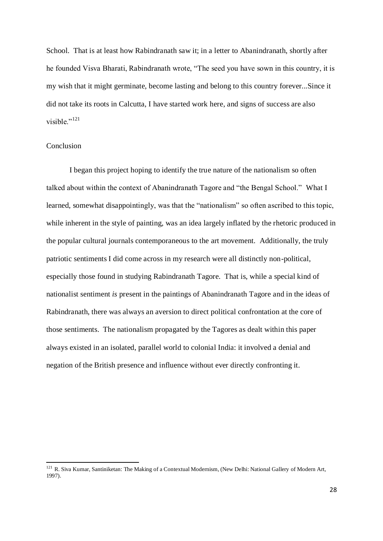School. That is at least how Rabindranath saw it; in a letter to Abanindranath, shortly after he founded Visva Bharati, Rabindranath wrote, "The seed you have sown in this country, it is my wish that it might germinate, become lasting and belong to this country forever...Since it did not take its roots in Calcutta, I have started work here, and signs of success are also visible."<sup>121</sup>

#### Conclusion

-

I began this project hoping to identify the true nature of the nationalism so often talked about within the context of Abanindranath Tagore and "the Bengal School." What I learned, somewhat disappointingly, was that the "nationalism" so often ascribed to this topic, while inherent in the style of painting, was an idea largely inflated by the rhetoric produced in the popular cultural journals contemporaneous to the art movement. Additionally, the truly patriotic sentiments I did come across in my research were all distinctly non-political, especially those found in studying Rabindranath Tagore. That is, while a special kind of nationalist sentiment *is* present in the paintings of Abanindranath Tagore and in the ideas of Rabindranath, there was always an aversion to direct political confrontation at the core of those sentiments. The nationalism propagated by the Tagores as dealt within this paper always existed in an isolated, parallel world to colonial India: it involved a denial and negation of the British presence and influence without ever directly confronting it.

<sup>&</sup>lt;sup>121</sup> R. Siva Kumar, Santiniketan: The Making of a Contextual Modernism, (New Delhi: National Gallery of Modern Art, 1997).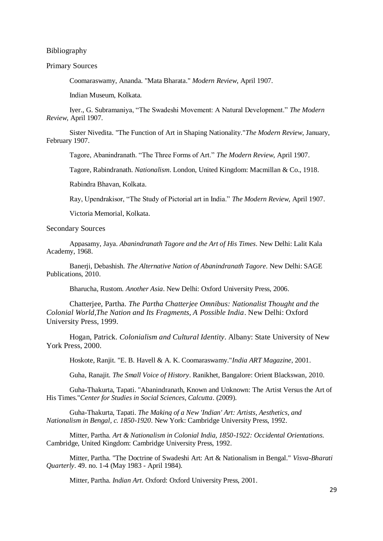Bibliography

#### Primary Sources

Coomaraswamy, Ananda. "Mata Bharata." *Modern Review*, April 1907.

Indian Museum, Kolkata.

Iyer., G. Subramaniya, "The Swadeshi Movement: A Natural Development." *The Modern Review*, April 1907.

Sister Nivedita. "The Function of Art in Shaping Nationality."*The Modern Review*, January, February 1907.

Tagore, Abanindranath. "The Three Forms of Art." *The Modern Review*, April 1907.

Tagore, Rabindranath. *Nationalism*. London, United Kingdom: Macmillan & Co., 1918.

Rabindra Bhavan, Kolkata.

Ray, Upendrakisor, "The Study of Pictorial art in India." *The Modern Review,* April 1907.

Victoria Memorial, Kolkata.

#### Secondary Sources

Appasamy, Jaya. *Abanindranath Tagore and the Art of His Times*. New Delhi: Lalit Kala Academy, 1968.

Banerji, Debashish. *The Alternative Nation of Abanindranath Tagore*. New Delhi: SAGE Publications, 2010.

Bharucha, Rustom. *Another Asia*. New Delhi: Oxford University Press, 2006.

Chatterjee, Partha. *The Partha Chatterjee Omnibus: Nationalist Thought and the Colonial World,The Nation and Its Fragments, A Possible India*. New Delhi: Oxford University Press, 1999.

Hogan, Patrick. *Colonialism and Cultural Identity*. Albany: State University of New York Press, 2000.

Hoskote, Ranjit. "E. B. Havell & A. K. Coomaraswamy."*India ART Magazine*, 2001.

Guha, Ranajit. *The Small Voice of History*. Ranikhet, Bangalore: Orient Blackswan, 2010.

Guha-Thakurta, Tapati. "Abanindranath, Known and Unknown: The Artist Versus the Art of His Times."*Center for Studies in Social Sciences, Calcutta*. (2009).

Guha-Thakurta, Tapati. *The Making of a New 'Indian' Art: Artists, Aesthetics, and Nationalism in Bengal, c. 1850-1920*. New York: Cambridge University Press, 1992.

Mitter, Partha. *Art & Nationalism in Colonial India, 1850-1922: Occidental Orientations*. Cambridge, United Kingdom: Cambridge University Press, 1992.

Mitter, Partha. "The Doctrine of Swadeshi Art: Art & Nationalism in Bengal." *Visva-Bharati Quarterly*. 49. no. 1-4 (May 1983 - April 1984).

Mitter, Partha. *Indian Art*. Oxford: Oxford University Press, 2001.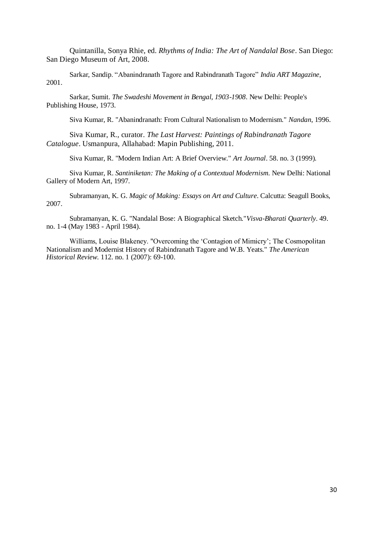Quintanilla, Sonya Rhie, ed. *Rhythms of India: The Art of Nandalal Bose*. San Diego: San Diego Museum of Art, 2008.

Sarkar, Sandip. "Abanindranath Tagore and Rabindranath Tagore" *India ART Magazine,*  2001.

Sarkar, Sumit. *The Swadeshi Movement in Bengal, 1903-1908*. New Delhi: People's Publishing House, 1973.

Siva Kumar, R. "Abanindranath: From Cultural Nationalism to Modernism." *Nandan*, 1996.

Siva Kumar, R., curator. *The Last Harvest: Paintings of Rabindranath Tagore Catalogue*. Usmanpura, Allahabad: Mapin Publishing, 2011.

Siva Kumar, R. "Modern Indian Art: A Brief Overview." *Art Journal*. 58. no. 3 (1999).

Siva Kumar, R. *Santiniketan: The Making of a Contextual Modernism*. New Delhi: National Gallery of Modern Art, 1997.

Subramanyan, K. G. *Magic of Making: Essays on Art and Culture*. Calcutta: Seagull Books, 2007.

Subramanyan, K. G. "Nandalal Bose: A Biographical Sketch."*Visva-Bharati Quarterly*. 49. no. 1-4 (May 1983 - April 1984).

Williams, Louise Blakeney. "Overcoming the 'Contagion of Mimicry'; The Cosmopolitan Nationalism and Modernist History of Rabindranath Tagore and W.B. Yeats." *The American Historical Review*. 112. no. 1 (2007): 69-100.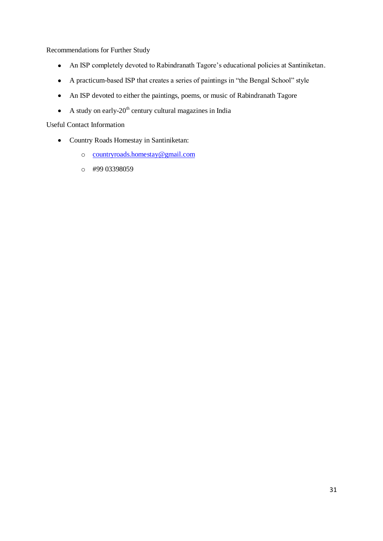Recommendations for Further Study

- An ISP completely devoted to Rabindranath Tagore's educational policies at Santiniketan.
- A practicum-based ISP that creates a series of paintings in "the Bengal School" style
- An ISP devoted to either the paintings, poems, or music of Rabindranath Tagore
- A study on early- $20<sup>th</sup>$  century cultural magazines in India

Useful Contact Information

- Country Roads Homestay in Santiniketan:
	- o [countryroads.homestay@gmail.com](mailto:countryroads.homestay@gmail.com)
	- o #99 03398059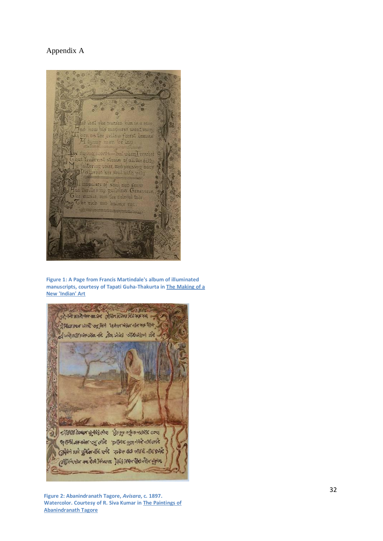#### Appendix A



**Figure 1: A Page from Francis Martindale's album of illuminated manuscripts, courtesy of Tapati Guha-Thakurta in The Making of a New 'Indian' Art**



**Figure 2: Abanindranath Tagore,** *Avisara***, c. 1897. Watercolor. Courtesy of R. Siva Kumar in The Paintings of Abanindranath Tagore**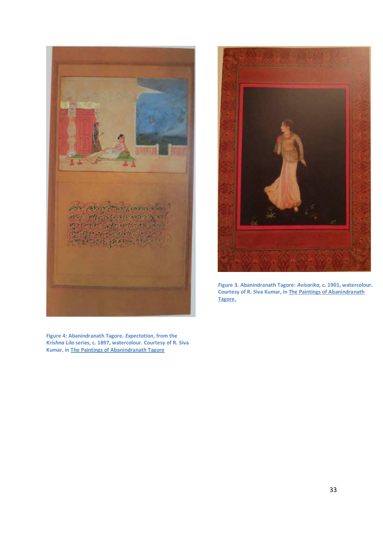

**Figure 4: Abanindranath Tagore.** *Expectation***, from the**  *Krishna Lila* **series, c. 1897, watercolour. Courtesy of R. Siva Kumar, in The Paintings of Abanindranath Tagore**



**Figure 3. Abanindranath Tagore:** *Avisarika,* **c. 1901, watercolour***.*  **Courtesy of R. Siva Kumar, in The Paintings of Abanindranath Tagore.**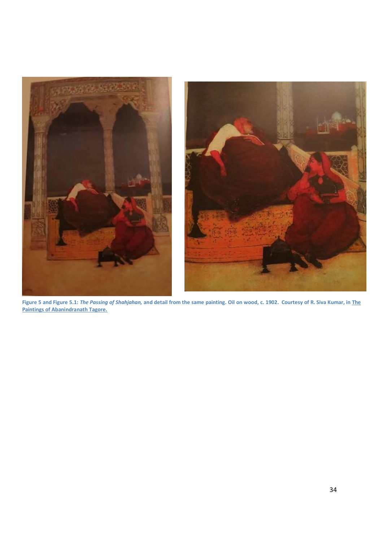

**Figure 5 and Figure 5.1:** *The Passing of Shahjahan,* **and detail from the same painting. Oil on wood, c. 1902. Courtesy of R. Siva Kumar, in The Paintings of Abanindranath Tagore.**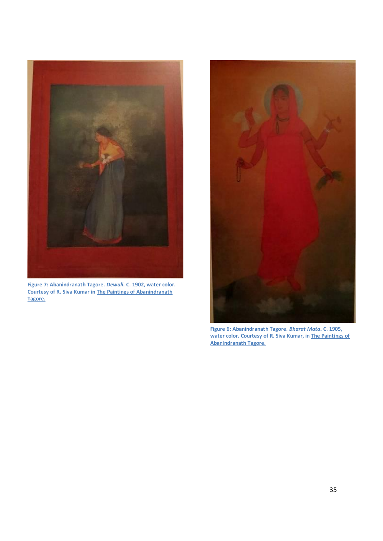

**Figure 7: Abanindranath Tagore.** *Dewali***. C. 1902, water color. Courtesy of R. Siva Kumar in The Paintings of Abanindranath Tagore.**



**Figure 6: Abanindranath Tagore.** *Bharat Mata***. C. 1905, water color. Courtesy of R. Siva Kumar, in The Paintings of Abanindranath Tagore.**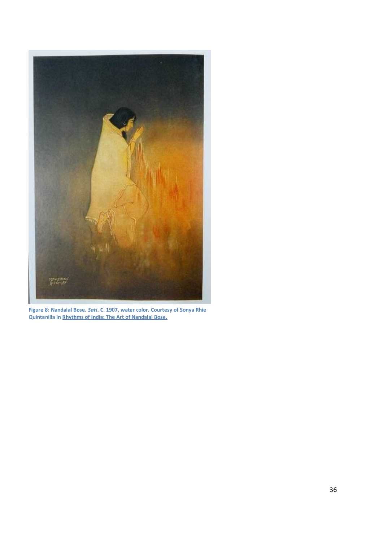

**Figure 8: Nandalal Bose.** *Sati***. C. 1907, water color. Courtesy of Sonya Rhie Quintanilla in Rhythms of India: The Art of Nandalal Bose.**